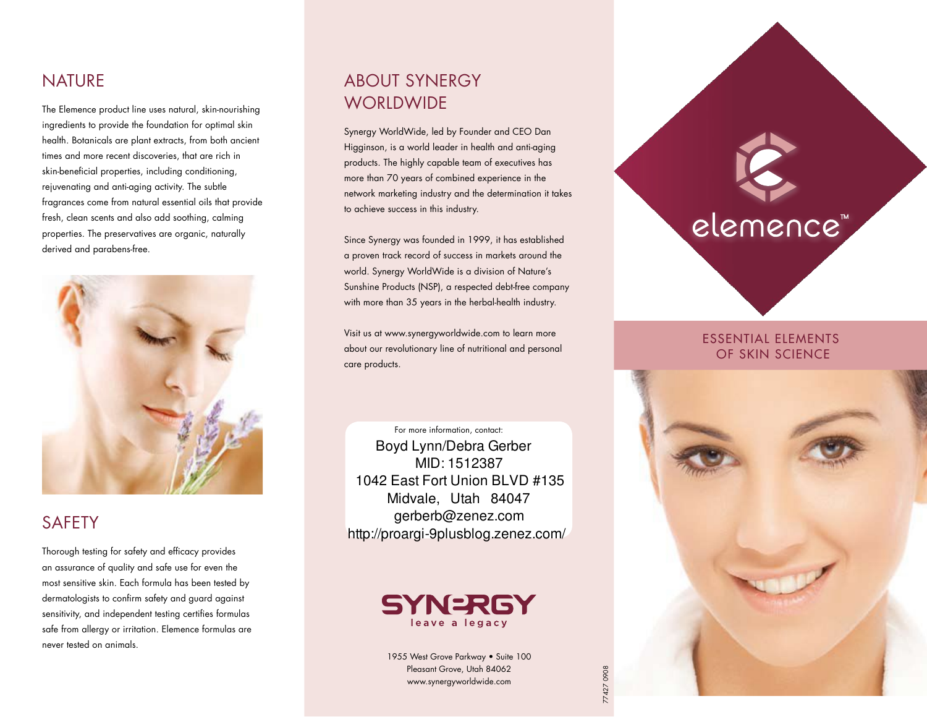## NATURE

The Elemence product line uses natural, skin-nourishing ingredients to provide the foundation for optimal skin health. Botanicals are plant extracts, from both ancient times and more recent discoveries, that are rich in skin-beneficial properties, including conditioning, rejuvenating and anti-aging activity. The subtle fragrances come from natural essential oils that provide fresh, clean scents and also add soothing, calming properties. The preservatives are organic, naturally derived and parabens-free.



## SAFETY

Thorough testing for safety and efficacy provides an assurance of quality and safe use for even the most sensitive skin. Each formula has been tested by dermatologists to confrm safety and guard against sensitivity, and independent testing certifies formulas safe from allergy or irritation. Elemence formulas are never tested on animals.

# ABoUT SYNERgY **WORLDWIDE**

Synergy WorldWide, led by Founder and CEO Dan Higginson, is a world leader in health and anti-aging products. The highly capable team of executives has more than 70 years of combined experience in the network marketing industry and the determination it takes to achieve success in this industry.

Since Synergy was founded in 1999, it has established a proven track record of success in markets around the world. Synergy WorldWide is a division of Nature's Sunshine Products (NSP), a respected debt-free company with more than 35 years in the herbal-health industry.

Visit us at www.synergyworldwide.com to learn more about our revolutionary line of nutritional and personal care products.

For more information, contact: Boyd Lynn/Debra Gerber MID: 1512387 1042 East Fort Union BLVD #135 Midvale, Utah 84047 gerberb@zenez.com http://proargi-9plusblog.zenez.com/



1955 West Grove Parkway • Suite 100 Pleasant Grove, Utah 84062 www.synergyworldwide.com

77427 0908

427 090E

# elemence"

## ESSENTIAL ELEMENTS OF SKIN SCIENCE